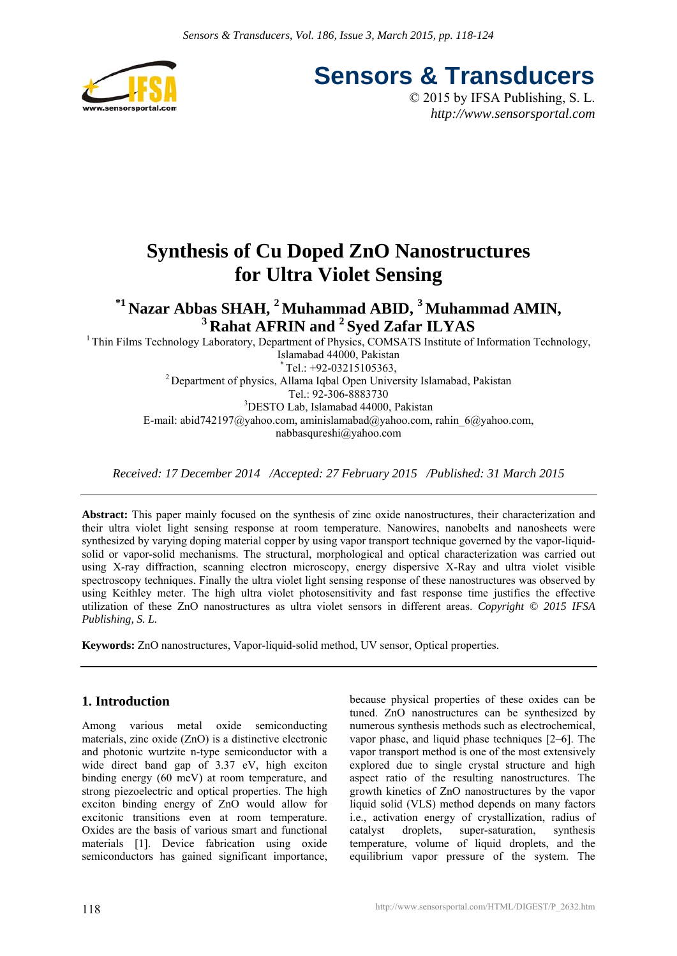

**Sensors & Transducers**

© 2015 by IFSA Publishing, S. L. *http://www.sensorsportal.com*

# **Synthesis of Cu Doped ZnO Nanostructures for Ultra Violet Sensing**

<sup>\*1</sup> Nazar Abbas SHAH, <sup>2</sup> Muhammad ABID, <sup>3</sup> Muhammad AMIN, <sup>3</sup> Rahat AFRIN and <sup>2</sup> Sved Zafar ILYAS

<sup>1</sup> Thin Films Technology Laboratory, Department of Physics, COMSATS Institute of Information Technology, Islamabad 44000, Pakistan<br>  $*$  Tel.: +92-03215105363. <sup>2</sup> Department of physics, Allama Iqbal Open University Islamabad, Pakistan Tel.: 92-306-8883730<br><sup>3</sup>DESTO Lab, Islamabad 44000, Pakistan E-mail: abid742197@yahoo.com, aminislamabad@yahoo.com, rahin\_6@yahoo.com, nabbasqureshi@yahoo.com

*Received: 17 December 2014 /Accepted: 27 February 2015 /Published: 31 March 2015* 

**Abstract:** This paper mainly focused on the synthesis of zinc oxide nanostructures, their characterization and their ultra violet light sensing response at room temperature. Nanowires, nanobelts and nanosheets were synthesized by varying doping material copper by using vapor transport technique governed by the vapor-liquidsolid or vapor-solid mechanisms. The structural, morphological and optical characterization was carried out using X-ray diffraction, scanning electron microscopy, energy dispersive X-Ray and ultra violet visible spectroscopy techniques. Finally the ultra violet light sensing response of these nanostructures was observed by using Keithley meter. The high ultra violet photosensitivity and fast response time justifies the effective utilization of these ZnO nanostructures as ultra violet sensors in different areas. *Copyright © 2015 IFSA Publishing, S. L.*

**Keywords:** ZnO nanostructures, Vapor-liquid-solid method, UV sensor, Optical properties.

# **1. Introduction**

Among various metal oxide semiconducting materials, zinc oxide (ZnO) is a distinctive electronic and photonic wurtzite n-type semiconductor with a wide direct band gap of 3.37 eV, high exciton binding energy (60 meV) at room temperature, and strong piezoelectric and optical properties. The high exciton binding energy of ZnO would allow for excitonic transitions even at room temperature. Oxides are the basis of various smart and functional materials [1]. Device fabrication using oxide semiconductors has gained significant importance,

because physical properties of these oxides can be tuned. ZnO nanostructures can be synthesized by numerous synthesis methods such as electrochemical, vapor phase, and liquid phase techniques [2–6]. The vapor transport method is one of the most extensively explored due to single crystal structure and high aspect ratio of the resulting nanostructures. The growth kinetics of ZnO nanostructures by the vapor liquid solid (VLS) method depends on many factors i.e., activation energy of crystallization, radius of catalyst droplets, super-saturation, synthesis temperature, volume of liquid droplets, and the equilibrium vapor pressure of the system. The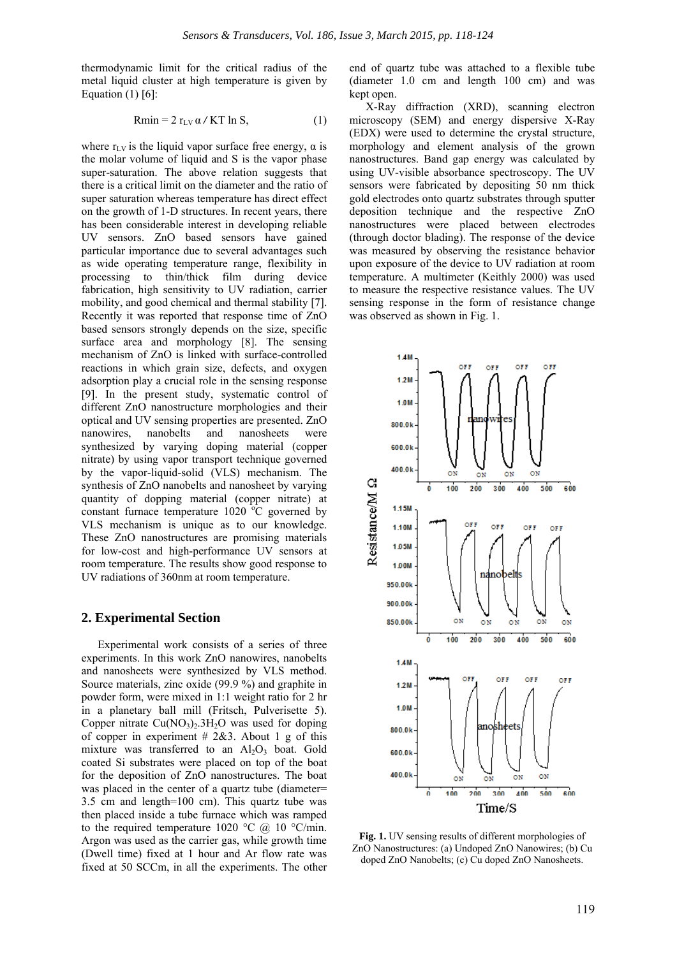thermodynamic limit for the critical radius of the metal liquid cluster at high temperature is given by Equation  $(1)$  [6]:

$$
Rmin = 2 r_{LV} \alpha / KT ln S, \qquad (1)
$$

where  $r_{\text{LV}}$  is the liquid vapor surface free energy,  $\alpha$  is the molar volume of liquid and S is the vapor phase super-saturation. The above relation suggests that there is a critical limit on the diameter and the ratio of super saturation whereas temperature has direct effect on the growth of 1-D structures. In recent years, there has been considerable interest in developing reliable UV sensors. ZnO based sensors have gained particular importance due to several advantages such as wide operating temperature range, flexibility in processing to thin/thick film during device fabrication, high sensitivity to UV radiation, carrier mobility, and good chemical and thermal stability [7]. Recently it was reported that response time of ZnO based sensors strongly depends on the size, specific surface area and morphology [8]. The sensing mechanism of ZnO is linked with surface-controlled reactions in which grain size, defects, and oxygen adsorption play a crucial role in the sensing response [9]. In the present study, systematic control of different ZnO nanostructure morphologies and their optical and UV sensing properties are presented. ZnO nanowires, nanobelts and nanosheets were synthesized by varying doping material (copper nitrate) by using vapor transport technique governed by the vapor-liquid-solid (VLS) mechanism. The synthesis of ZnO nanobelts and nanosheet by varying quantity of dopping material (copper nitrate) at constant furnace temperature  $1020$  °C governed by VLS mechanism is unique as to our knowledge. These ZnO nanostructures are promising materials for low-cost and high-performance UV sensors at room temperature. The results show good response to UV radiations of 360nm at room temperature.

## **2. Experimental Section**

Experimental work consists of a series of three experiments. In this work ZnO nanowires, nanobelts and nanosheets were synthesized by VLS method. Source materials, zinc oxide (99.9 %) and graphite in powder form, were mixed in 1:1 weight ratio for 2 hr in a planetary ball mill (Fritsch, Pulverisette 5). Copper nitrate  $Cu(NO<sub>3</sub>)<sub>2</sub>$ . 3H<sub>2</sub>O was used for doping of copper in experiment  $\# 2\& 3$ . About 1 g of this mixture was transferred to an  $Al_2O_3$  boat. Gold coated Si substrates were placed on top of the boat for the deposition of ZnO nanostructures. The boat was placed in the center of a quartz tube (diameter= 3.5 cm and length=100 cm). This quartz tube was then placed inside a tube furnace which was ramped to the required temperature 1020 °C  $\omega$  10 °C/min. Argon was used as the carrier gas, while growth time (Dwell time) fixed at 1 hour and Ar flow rate was fixed at 50 SCCm, in all the experiments. The other

end of quartz tube was attached to a flexible tube (diameter 1.0 cm and length 100 cm) and was kept open.

X-Ray diffraction (XRD), scanning electron microscopy (SEM) and energy dispersive X-Ray (EDX) were used to determine the crystal structure, morphology and element analysis of the grown nanostructures. Band gap energy was calculated by using UV-visible absorbance spectroscopy. The UV sensors were fabricated by depositing 50 nm thick gold electrodes onto quartz substrates through sputter deposition technique and the respective ZnO nanostructures were placed between electrodes (through doctor blading). The response of the device was measured by observing the resistance behavior upon exposure of the device to UV radiation at room temperature. A multimeter (Keithly 2000) was used to measure the respective resistance values. The UV sensing response in the form of resistance change was observed as shown in Fig. 1.



**Fig. 1.** UV sensing results of different morphologies of ZnO Nanostructures: (a) Undoped ZnO Nanowires; (b) Cu doped ZnO Nanobelts; (c) Cu doped ZnO Nanosheets.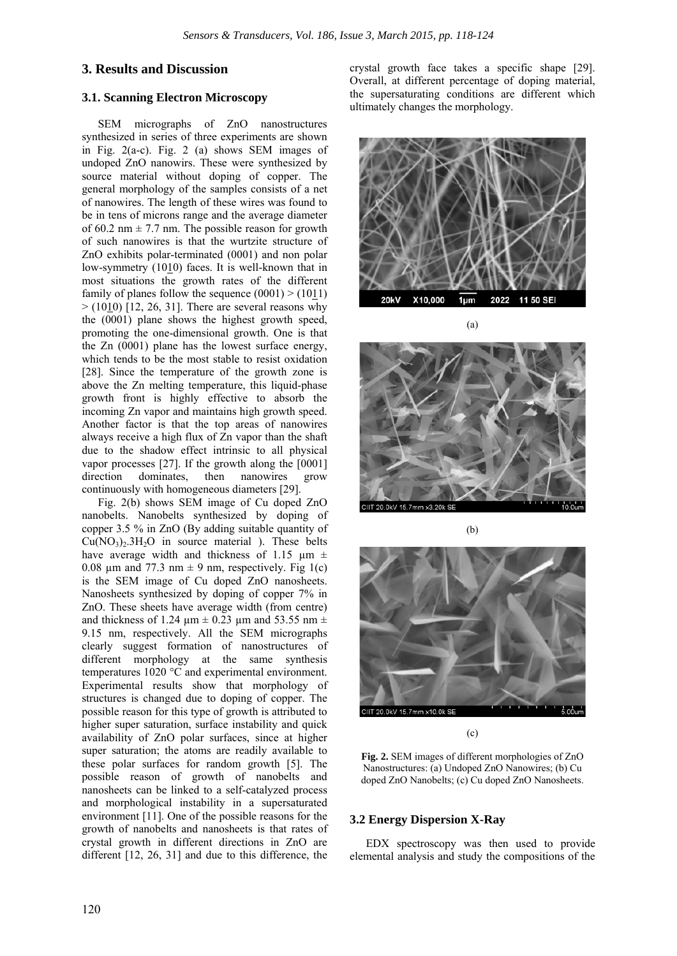# **3. Results and Discussion**

# **3.1. Scanning Electron Microscopy**

SEM micrographs of ZnO nanostructures synthesized in series of three experiments are shown in Fig.  $2(a-c)$ . Fig. 2 (a) shows SEM images of undoped ZnO nanowirs. These were synthesized by source material without doping of copper. The general morphology of the samples consists of a net of nanowires. The length of these wires was found to be in tens of microns range and the average diameter of 60.2 nm  $\pm$  7.7 nm. The possible reason for growth of such nanowires is that the wurtzite structure of ZnO exhibits polar-terminated (0001) and non polar low-symmetry (1010) faces. It is well-known that in most situations the growth rates of the different family of planes follow the sequence  $(0001) > (1011)$  $>$  (1010) [12, 26, 31]. There are several reasons why the (0001) plane shows the highest growth speed, promoting the one-dimensional growth. One is that the Zn (0001) plane has the lowest surface energy, which tends to be the most stable to resist oxidation [28]. Since the temperature of the growth zone is above the Zn melting temperature, this liquid-phase growth front is highly effective to absorb the incoming Zn vapor and maintains high growth speed. Another factor is that the top areas of nanowires always receive a high flux of Zn vapor than the shaft due to the shadow effect intrinsic to all physical vapor processes [27]. If the growth along the [0001] direction dominates, then nanowires grow continuously with homogeneous diameters [29].

Fig. 2(b) shows SEM image of Cu doped ZnO nanobelts. Nanobelts synthesized by doping of copper 3.5 % in ZnO (By adding suitable quantity of  $Cu(NO<sub>3</sub>)<sub>2</sub>$ . 3H<sub>2</sub>O in source material ). These belts have average width and thickness of 1.15  $\mu$ m  $\pm$ 0.08 um and 77.3 nm  $\pm$  9 nm, respectively. Fig 1(c) is the SEM image of Cu doped ZnO nanosheets. Nanosheets synthesized by doping of copper 7% in ZnO. These sheets have average width (from centre) and thickness of 1.24  $\mu$ m  $\pm$  0.23  $\mu$ m and 53.55 nm  $\pm$ 9.15 nm, respectively. All the SEM micrographs clearly suggest formation of nanostructures of different morphology at the same synthesis temperatures 1020 °C and experimental environment. Experimental results show that morphology of structures is changed due to doping of copper. The possible reason for this type of growth is attributed to higher super saturation, surface instability and quick availability of ZnO polar surfaces, since at higher super saturation; the atoms are readily available to these polar surfaces for random growth [5]. The possible reason of growth of nanobelts and nanosheets can be linked to a self-catalyzed process and morphological instability in a supersaturated environment [11]. One of the possible reasons for the growth of nanobelts and nanosheets is that rates of crystal growth in different directions in ZnO are different [12, 26, 31] and due to this difference, the

crystal growth face takes a specific shape [29]. Overall, at different percentage of doping material, the supersaturating conditions are different which ultimately changes the morphology.



20.0kV 15.7mm x3.2

(a)

:IIT 20.0kV 15.7mm x10.0k SI

(b)

(c)

**Fig. 2.** SEM images of different morphologies of ZnO Nanostructures: (a) Undoped ZnO Nanowires; (b) Cu doped ZnO Nanobelts; (c) Cu doped ZnO Nanosheets.

## **3.2 Energy Dispersion X-Ray**

EDX spectroscopy was then used to provide elemental analysis and study the compositions of the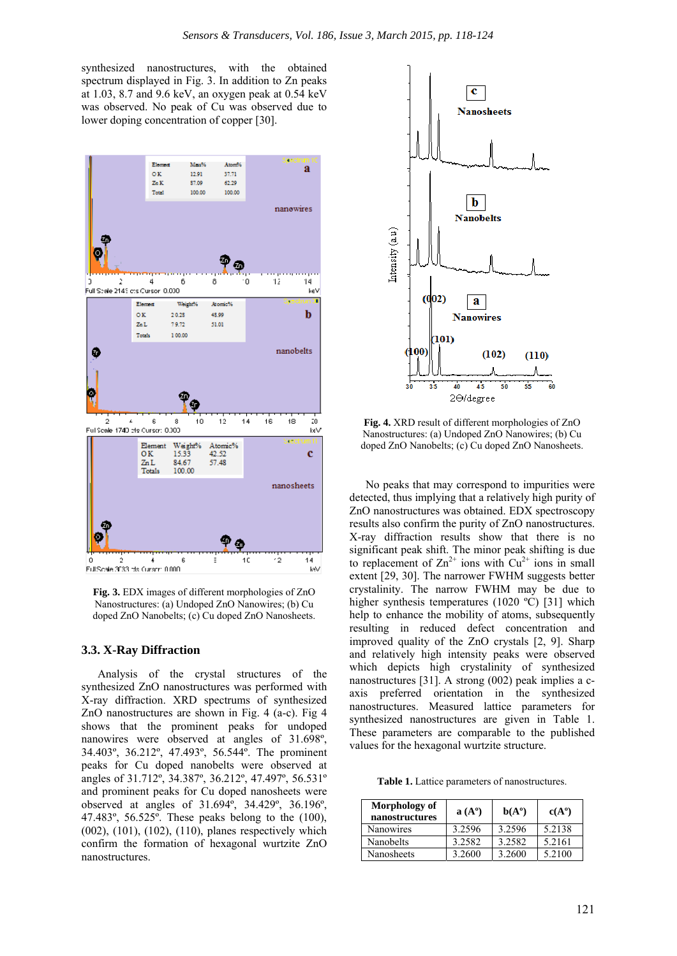synthesized nanostructures, with the obtained spectrum displayed in Fig. 3. In addition to Zn peaks at 1.03, 8.7 and 9.6 keV, an oxygen peak at 0.54 keV was observed. No peak of Cu was observed due to lower doping concentration of copper [30].



**Fig. 3.** EDX images of different morphologies of ZnO Nanostructures: (a) Undoped ZnO Nanowires; (b) Cu doped ZnO Nanobelts; (c) Cu doped ZnO Nanosheets.

#### **3.3. X-Ray Diffraction**

Analysis of the crystal structures of the synthesized ZnO nanostructures was performed with X-ray diffraction. XRD spectrums of synthesized ZnO nanostructures are shown in Fig. 4 (a-c). Fig 4 shows that the prominent peaks for undoped nanowires were observed at angles of 31.698º, 34.403º, 36.212º, 47.493º, 56.544º. The prominent peaks for Cu doped nanobelts were observed at angles of 31.712º, 34.387º, 36.212º, 47.497º, 56.531º and prominent peaks for Cu doped nanosheets were observed at angles of 31.694º, 34.429º, 36.196º, 47.483º, 56.525º. These peaks belong to the (100), (002), (101), (102), (110), planes respectively which confirm the formation of hexagonal wurtzite ZnO nanostructures.



**Fig. 4.** XRD result of different morphologies of ZnO Nanostructures: (a) Undoped ZnO Nanowires; (b) Cu doped ZnO Nanobelts; (c) Cu doped ZnO Nanosheets.

No peaks that may correspond to impurities were detected, thus implying that a relatively high purity of ZnO nanostructures was obtained. EDX spectroscopy results also confirm the purity of ZnO nanostructures. X-ray diffraction results show that there is no significant peak shift. The minor peak shifting is due to replacement of  $\text{Zn}^{2+}$  ions with  $\text{Cu}^{2+}$  ions in small extent [29, 30]. The narrower FWHM suggests better crystalinity. The narrow FWHM may be due to higher synthesis temperatures (1020 °C) [31] which help to enhance the mobility of atoms, subsequently resulting in reduced defect concentration and improved quality of the ZnO crystals [2, 9]. Sharp and relatively high intensity peaks were observed which depicts high crystalinity of synthesized nanostructures [31]. A strong (002) peak implies a caxis preferred orientation in the synthesized nanostructures. Measured lattice parameters for synthesized nanostructures are given in Table 1. These parameters are comparable to the published values for the hexagonal wurtzite structure.

**Table 1.** Lattice parameters of nanostructures.

| Morphology of<br>nanostructures | $a(A^{\circ})$ | $b(A^{\circ})$ | $c(A^{\circ})$ |
|---------------------------------|----------------|----------------|----------------|
| <b>Nanowires</b>                | 3.2596         | 3.2596         | 5.2138         |
| Nanobelts                       | 3.2582         | 3.2582         | 5.2161         |
| Nanosheets                      | 3.2600         | 3.2600         | 5.2100         |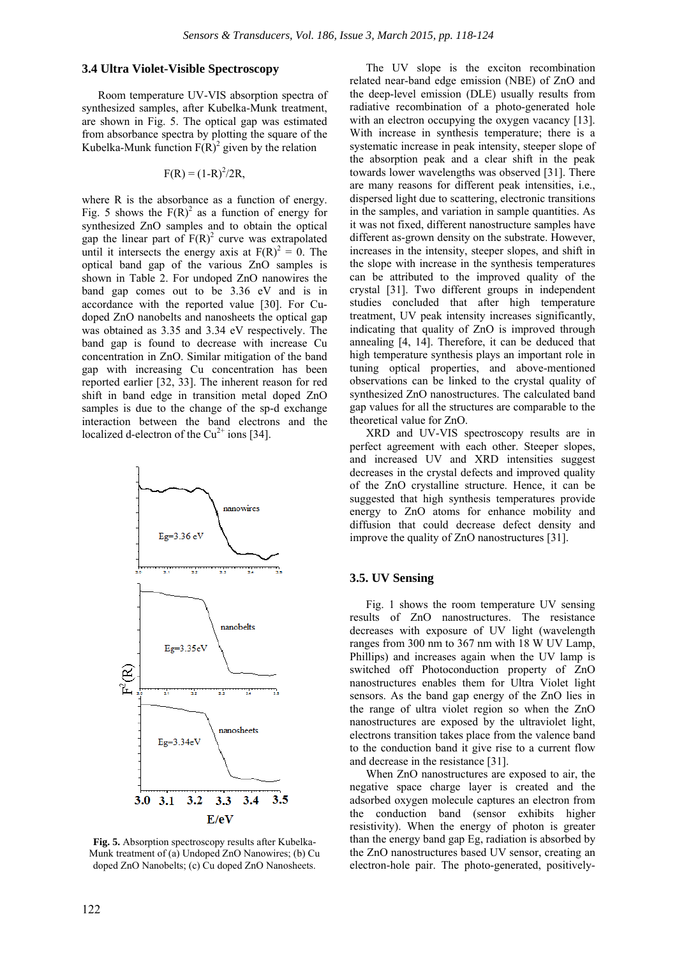## **3.4 Ultra Violet-Visible Spectroscopy**

Room temperature UV-VIS absorption spectra of synthesized samples, after Kubelka-Munk treatment, are shown in Fig. 5. The optical gap was estimated from absorbance spectra by plotting the square of the Kubelka-Munk function  $F(R)^2$  given by the relation

$$
F(R) = (1-R)^2/2R,
$$

where R is the absorbance as a function of energy. Fig. 5 shows the  $F(R)^2$  as a function of energy for synthesized ZnO samples and to obtain the optical gap the linear part of  $F(R)^2$  curve was extrapolated until it intersects the energy axis at  $F(R)^2 = 0$ . The optical band gap of the various ZnO samples is shown in Table 2. For undoped ZnO nanowires the band gap comes out to be 3.36 eV and is in accordance with the reported value [30]. For Cudoped ZnO nanobelts and nanosheets the optical gap was obtained as 3.35 and 3.34 eV respectively. The band gap is found to decrease with increase Cu concentration in ZnO. Similar mitigation of the band gap with increasing Cu concentration has been reported earlier [32, 33]. The inherent reason for red shift in band edge in transition metal doped ZnO samples is due to the change of the sp-d exchange interaction between the band electrons and the localized d-electron of the  $Cu^{2+}$  ions [34].



**Fig. 5.** Absorption spectroscopy results after Kubelka-Munk treatment of (a) Undoped ZnO Nanowires; (b) Cu doped ZnO Nanobelts; (c) Cu doped ZnO Nanosheets.

The UV slope is the exciton recombination related near-band edge emission (NBE) of ZnO and the deep-level emission (DLE) usually results from radiative recombination of a photo-generated hole with an electron occupying the oxygen vacancy [13]. With increase in synthesis temperature; there is a systematic increase in peak intensity, steeper slope of the absorption peak and a clear shift in the peak towards lower wavelengths was observed [31]. There are many reasons for different peak intensities, i.e., dispersed light due to scattering, electronic transitions in the samples, and variation in sample quantities. As it was not fixed, different nanostructure samples have different as-grown density on the substrate. However, increases in the intensity, steeper slopes, and shift in the slope with increase in the synthesis temperatures can be attributed to the improved quality of the crystal [31]. Two different groups in independent studies concluded that after high temperature treatment, UV peak intensity increases significantly, indicating that quality of ZnO is improved through annealing [4, 14]. Therefore, it can be deduced that high temperature synthesis plays an important role in tuning optical properties, and above-mentioned observations can be linked to the crystal quality of synthesized ZnO nanostructures. The calculated band gap values for all the structures are comparable to the theoretical value for ZnO.

XRD and UV-VIS spectroscopy results are in perfect agreement with each other. Steeper slopes, and increased UV and XRD intensities suggest decreases in the crystal defects and improved quality of the ZnO crystalline structure. Hence, it can be suggested that high synthesis temperatures provide energy to ZnO atoms for enhance mobility and diffusion that could decrease defect density and improve the quality of ZnO nanostructures [31].

#### **3.5. UV Sensing**

Fig. 1 shows the room temperature UV sensing results of ZnO nanostructures. The resistance decreases with exposure of UV light (wavelength ranges from 300 nm to 367 nm with 18 W UV Lamp, Phillips) and increases again when the UV lamp is switched off Photoconduction property of ZnO nanostructures enables them for Ultra Violet light sensors. As the band gap energy of the ZnO lies in the range of ultra violet region so when the ZnO nanostructures are exposed by the ultraviolet light, electrons transition takes place from the valence band to the conduction band it give rise to a current flow and decrease in the resistance [31].

When ZnO nanostructures are exposed to air, the negative space charge layer is created and the adsorbed oxygen molecule captures an electron from the conduction band (sensor exhibits higher resistivity). When the energy of photon is greater than the energy band gap Eg, radiation is absorbed by the ZnO nanostructures based UV sensor, creating an electron-hole pair. The photo-generated, positively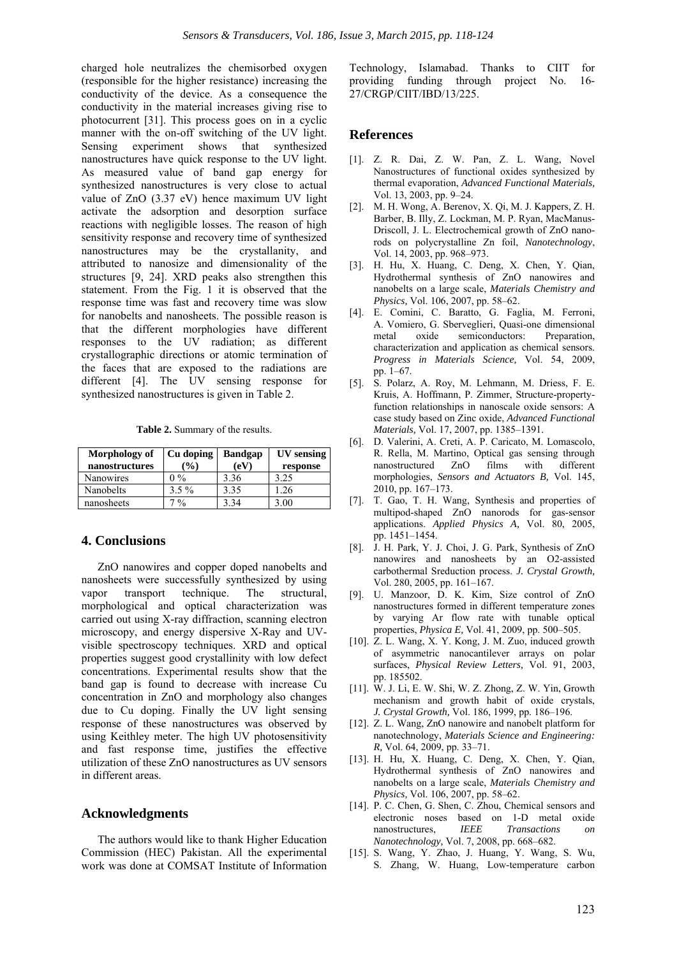charged hole neutralizes the chemisorbed oxygen (responsible for the higher resistance) increasing the conductivity of the device. As a consequence the conductivity in the material increases giving rise to photocurrent [31]. This process goes on in a cyclic manner with the on-off switching of the UV light. Sensing experiment shows that synthesized nanostructures have quick response to the UV light. As measured value of band gap energy for synthesized nanostructures is very close to actual value of ZnO (3.37 eV) hence maximum UV light activate the adsorption and desorption surface reactions with negligible losses. The reason of high sensitivity response and recovery time of synthesized nanostructures may be the crystallanity, and attributed to nanosize and dimensionality of the structures [9, 24]. XRD peaks also strengthen this statement. From the Fig. 1 it is observed that the response time was fast and recovery time was slow for nanobelts and nanosheets. The possible reason is that the different morphologies have different responses to the UV radiation; as different crystallographic directions or atomic termination of the faces that are exposed to the radiations are different [4]. The UV sensing response for synthesized nanostructures is given in Table 2.

**Table 2.** Summary of the results.

| Morphology of<br>nanostructures | Cu doping<br>$\frac{9}{6}$ | <b>Bandgap</b><br>(eV) | UV sensing<br>response |
|---------------------------------|----------------------------|------------------------|------------------------|
| Nanowires                       | $0\%$                      | 3.36                   | 3.25                   |
| Nanobelts                       | $3.5\%$                    | 3.35                   | 1.26                   |
| nanosheets                      | $7\frac{0}{0}$             | 3 34                   | .00                    |

#### **4. Conclusions**

ZnO nanowires and copper doped nanobelts and nanosheets were successfully synthesized by using vapor transport technique. The structural, morphological and optical characterization was carried out using X-ray diffraction, scanning electron microscopy, and energy dispersive X-Ray and UVvisible spectroscopy techniques. XRD and optical properties suggest good crystallinity with low defect concentrations. Experimental results show that the band gap is found to decrease with increase Cu concentration in ZnO and morphology also changes due to Cu doping. Finally the UV light sensing response of these nanostructures was observed by using Keithley meter. The high UV photosensitivity and fast response time, justifies the effective utilization of these ZnO nanostructures as UV sensors in different areas.

# **Acknowledgments**

The authors would like to thank Higher Education Commission (HEC) Pakistan. All the experimental work was done at COMSAT Institute of Information

Technology, Islamabad. Thanks to CIIT for providing funding through project No. 16- 27/CRGP/CIIT/IBD/13/225.

## **References**

- [1]. Z. R. Dai, Z. W. Pan, Z. L. Wang, Novel Nanostructures of functional oxides synthesized by thermal evaporation, *Advanced Functional Materials,*  Vol. 13, 2003, pp. 9–24.
- [2]. M. H. Wong, A. Berenov, X. Qi, M. J. Kappers, Z. H. Barber, B. Illy, Z. Lockman, M. P. Ryan, MacManus-Driscoll, J. L. Electrochemical growth of ZnO nanorods on polycrystalline Zn foil, *Nanotechnology*, Vol. 14, 2003, pp. 968–973.
- [3]. H. Hu, X. Huang, C. Deng, X. Chen, Y. Qian, Hydrothermal synthesis of ZnO nanowires and nanobelts on a large scale, *Materials Chemistry and Physics,* Vol. 106, 2007, pp. 58–62.
- [4]. E. Comini, C. Baratto, G. Faglia, M. Ferroni, A. Vomiero, G. Sberveglieri, Quasi-one dimensional metal oxide semiconductors: Preparation, characterization and application as chemical sensors. *Progress in Materials Science,* Vol. 54, 2009, pp. 1–67.
- [5]. S. Polarz, A. Roy, M. Lehmann, M. Driess, F. E. Kruis, A. Hoffmann, P. Zimmer, Structure-propertyfunction relationships in nanoscale oxide sensors: A case study based on Zinc oxide, *Advanced Functional Materials,* Vol. 17, 2007, pp. 1385–1391.
- [6]. D. Valerini, A. Creti, A. P. Caricato, M. Lomascolo, R. Rella, M. Martino, Optical gas sensing through nanostructured ZnO films with different morphologies, *Sensors and Actuators B,* Vol. 145, 2010, pp. 167–173.
- [7]. T. Gao, T. H. Wang, Synthesis and properties of multipod-shaped ZnO nanorods for gas-sensor applications. *Applied Physics A,* Vol. 80, 2005, pp. 1451–1454.
- [8]. J. H. Park, Y. J. Choi, J. G. Park, Synthesis of ZnO nanowires and nanosheets by an O2-assisted carbothermal Sreduction process. *J. Crystal Growth,*  Vol. 280, 2005, pp. 161–167.
- [9]. U. Manzoor, D. K. Kim, Size control of ZnO nanostructures formed in different temperature zones by varying Ar flow rate with tunable optical properties, *Physica E,* Vol. 41, 2009, pp. 500–505.
- [10]. Z. L. Wang, X. Y. Kong, J. M. Zuo, induced growth of asymmetric nanocantilever arrays on polar surfaces, *Physical Review Letters,* Vol. 91, 2003, pp. 185502.
- [11]. W. J. Li, E. W. Shi, W. Z. Zhong, Z. W. Yin, Growth mechanism and growth habit of oxide crystals, *J. Crystal Growth,* Vol. 186, 1999, pp. 186–196.
- [12]. Z. L. Wang, ZnO nanowire and nanobelt platform for nanotechnology, *Materials Science and Engineering: R,* Vol. 64, 2009, pp. 33–71.
- [13]. H. Hu, X. Huang, C. Deng, X. Chen, Y. Qian, Hydrothermal synthesis of ZnO nanowires and nanobelts on a large scale, *Materials Chemistry and Physics,* Vol. 106, 2007, pp. 58–62.
- [14]. P. C. Chen, G. Shen, C. Zhou, Chemical sensors and electronic noses based on 1-D metal oxide nanostructures, *IEEE Transactions on Nanotechnology,* Vol. 7, 2008, pp. 668–682.
- [15]. S. Wang, Y. Zhao, J. Huang, Y. Wang, S. Wu, S. Zhang, W. Huang, Low-temperature carbon